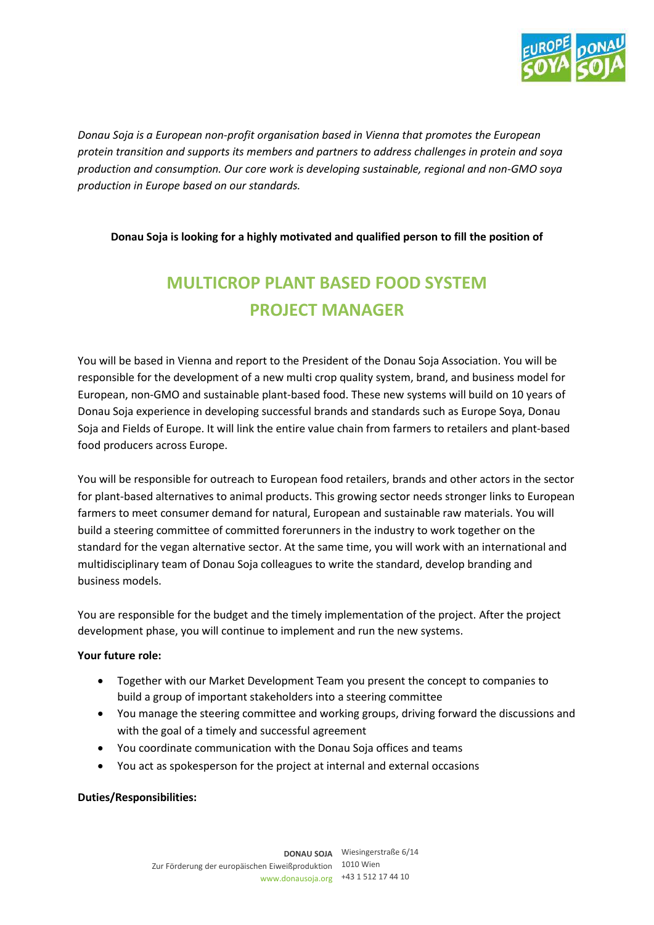

*Donau Soja is a European non-profit organisation based in Vienna that promotes the European protein transition and supports its members and partners to address challenges in protein and soya production and consumption. Our core work is developing sustainable, regional and non-GMO soya production in Europe based on our standards.* 

### **Donau Soja is looking for a highly motivated and qualified person to fill the position of**

# **MULTICROP PLANT BASED FOOD SYSTEM PROJECT MANAGER**

You will be based in Vienna and report to the President of the Donau Soja Association. You will be responsible for the development of a new multi crop quality system, brand, and business model for European, non-GMO and sustainable plant-based food. These new systems will build on 10 years of Donau Soja experience in developing successful brands and standards such as Europe Soya, Donau Soja and Fields of Europe. It will link the entire value chain from farmers to retailers and plant-based food producers across Europe.

You will be responsible for outreach to European food retailers, brands and other actors in the sector for plant-based alternatives to animal products. This growing sector needs stronger links to European farmers to meet consumer demand for natural, European and sustainable raw materials. You will build a steering committee of committed forerunners in the industry to work together on the standard for the vegan alternative sector. At the same time, you will work with an international and multidisciplinary team of Donau Soja colleagues to write the standard, develop branding and business models.

You are responsible for the budget and the timely implementation of the project. After the project development phase, you will continue to implement and run the new systems.

#### **Your future role:**

- Together with our Market Development Team you present the concept to companies to build a group of important stakeholders into a steering committee
- You manage the steering committee and working groups, driving forward the discussions and with the goal of a timely and successful agreement
- You coordinate communication with the Donau Soja offices and teams
- You act as spokesperson for the project at internal and external occasions

# **Duties/Responsibilities:**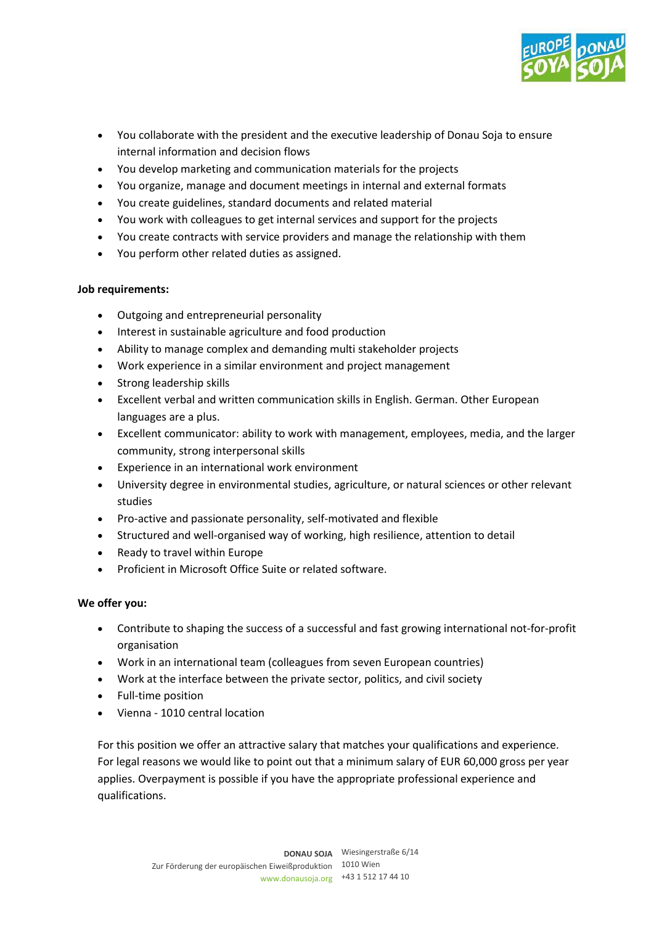

- You collaborate with the president and the executive leadership of Donau Soja to ensure internal information and decision flows
- You develop marketing and communication materials for the projects
- You organize, manage and document meetings in internal and external formats
- You create guidelines, standard documents and related material
- You work with colleagues to get internal services and support for the projects
- You create contracts with service providers and manage the relationship with them
- You perform other related duties as assigned.

### **Job requirements:**

- Outgoing and entrepreneurial personality
- Interest in sustainable agriculture and food production
- Ability to manage complex and demanding multi stakeholder projects
- Work experience in a similar environment and project management
- Strong leadership skills
- Excellent verbal and written communication skills in English. German. Other European languages are a plus.
- Excellent communicator: ability to work with management, employees, media, and the larger community, strong interpersonal skills
- Experience in an international work environment
- University degree in environmental studies, agriculture, or natural sciences or other relevant studies
- Pro-active and passionate personality, self-motivated and flexible
- Structured and well-organised way of working, high resilience, attention to detail
- Ready to travel within Europe
- Proficient in Microsoft Office Suite or related software.

# **We offer you:**

- Contribute to shaping the success of a successful and fast growing international not-for-profit organisation
- Work in an international team (colleagues from seven European countries)
- Work at the interface between the private sector, politics, and civil society
- Full-time position
- Vienna 1010 central location

For this position we offer an attractive salary that matches your qualifications and experience. For legal reasons we would like to point out that a minimum salary of EUR 60,000 gross per year applies. Overpayment is possible if you have the appropriate professional experience and qualifications.